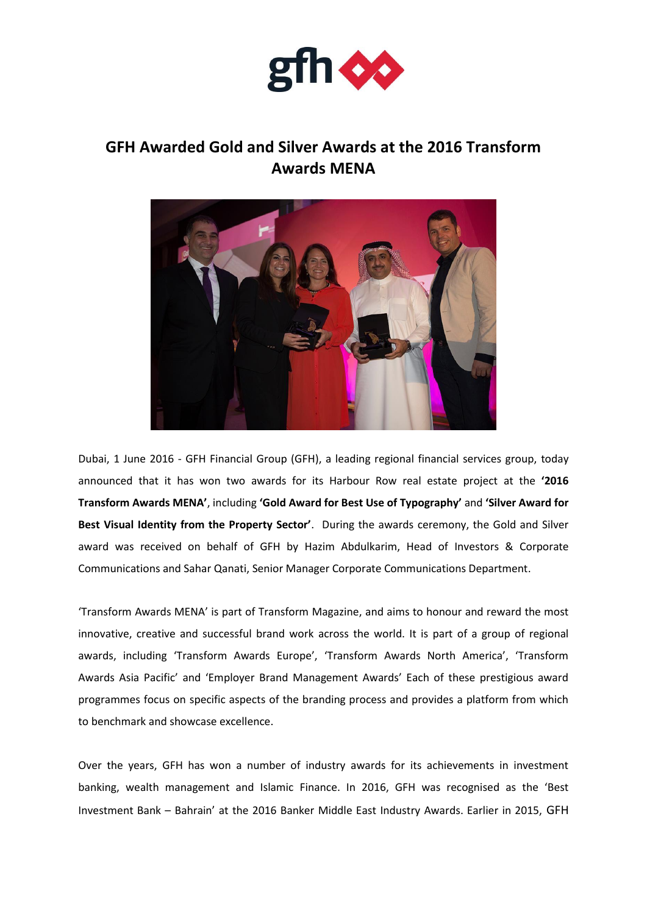

## **GFH Awarded Gold and Silver Awards at the 2016 Transform Awards MENA**



Dubai, 1 June 2016 - GFH Financial Group (GFH), a leading regional financial services group, today announced that it has won two awards for its Harbour Row real estate project at the **'2016 Transform Awards MENA'**, including **'Gold Award for Best Use of Typography'** and **'Silver Award for Best Visual Identity from the Property Sector'**. During the awards ceremony, the Gold and Silver award was received on behalf of GFH by Hazim Abdulkarim, Head of Investors & Corporate Communications and Sahar Qanati, Senior Manager Corporate Communications Department.

'Transform Awards MENA' is part of Transform Magazine, and aims to honour and reward the most innovative, creative and successful brand work across the world. It is part of a group of regional awards, including 'Transform Awards Europe', 'Transform Awards North America', 'Transform Awards Asia Pacific' and 'Employer Brand Management Awards' Each of these prestigious award programmes focus on specific aspects of the branding process and provides a platform from which to benchmark and showcase excellence.

Over the years, GFH has won a number of industry awards for its achievements in investment banking, wealth management and Islamic Finance. In 2016, GFH was recognised as the 'Best Investment Bank – Bahrain' at the 2016 Banker Middle East Industry Awards. Earlier in 2015, GFH